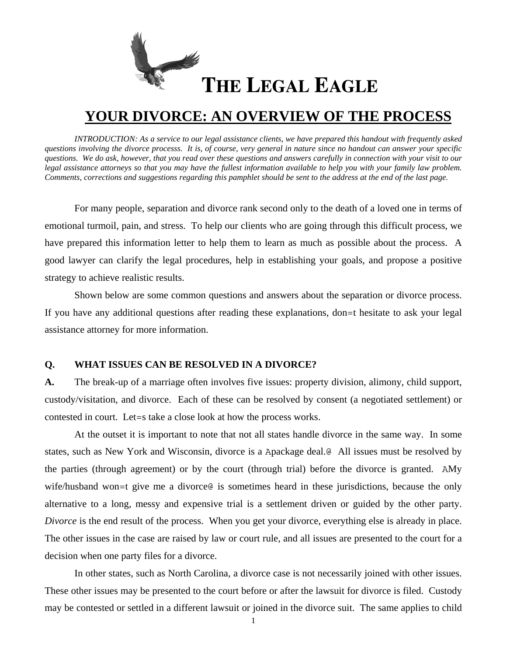

# **YOUR DIVORCE: AN OVERVIEW OF THE PROCESS**

*INTRODUCTION: As a service to our legal assistance clients, we have prepared this handout with frequently asked questions involving the divorce processs. It is, of course, very general in nature since no handout can answer your specific questions. We do ask, however, that you read over these questions and answers carefully in connection with your visit to our legal assistance attorneys so that you may have the fullest information available to help you with your family law problem. Comments, corrections and suggestions regarding this pamphlet should be sent to the address at the end of the last page.* 

For many people, separation and divorce rank second only to the death of a loved one in terms of emotional turmoil, pain, and stress. To help our clients who are going through this difficult process, we have prepared this information letter to help them to learn as much as possible about the process. A good lawyer can clarify the legal procedures, help in establishing your goals, and propose a positive strategy to achieve realistic results.

Shown below are some common questions and answers about the separation or divorce process. If you have any additional questions after reading these explanations, don=t hesitate to ask your legal assistance attorney for more information.

## **Q. WHAT ISSUES CAN BE RESOLVED IN A DIVORCE?**

**A.** The break-up of a marriage often involves five issues: property division, alimony, child support, custody/visitation, and divorce. Each of these can be resolved by consent (a negotiated settlement) or contested in court. Let=s take a close look at how the process works.

At the outset it is important to note that not all states handle divorce in the same way. In some states, such as New York and Wisconsin, divorce is a Apackage deal.@ All issues must be resolved by the parties (through agreement) or by the court (through trial) before the divorce is granted. AMy wife/husband won=t give me a divorce is sometimes heard in these jurisdictions, because the only alternative to a long, messy and expensive trial is a settlement driven or guided by the other party. *Divorce* is the end result of the process. When you get your divorce, everything else is already in place. The other issues in the case are raised by law or court rule, and all issues are presented to the court for a decision when one party files for a divorce.

In other states, such as North Carolina, a divorce case is not necessarily joined with other issues. These other issues may be presented to the court before or after the lawsuit for divorce is filed. Custody may be contested or settled in a different lawsuit or joined in the divorce suit. The same applies to child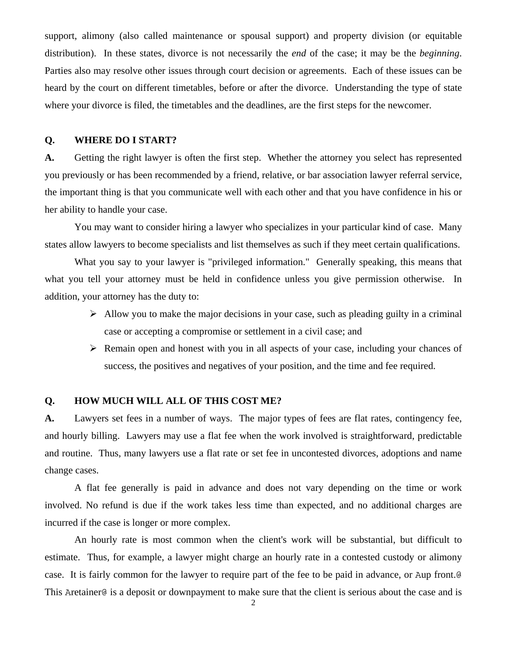support, alimony (also called maintenance or spousal support) and property division (or equitable distribution). In these states, divorce is not necessarily the *end* of the case; it may be the *beginning*. Parties also may resolve other issues through court decision or agreements. Each of these issues can be heard by the court on different timetables, before or after the divorce. Understanding the type of state where your divorce is filed, the timetables and the deadlines, are the first steps for the newcomer.

#### **Q. WHERE DO I START?**

**A.** Getting the right lawyer is often the first step. Whether the attorney you select has represented you previously or has been recommended by a friend, relative, or bar association lawyer referral service, the important thing is that you communicate well with each other and that you have confidence in his or her ability to handle your case.

You may want to consider hiring a lawyer who specializes in your particular kind of case. Many states allow lawyers to become specialists and list themselves as such if they meet certain qualifications.

What you say to your lawyer is "privileged information." Generally speaking, this means that what you tell your attorney must be held in confidence unless you give permission otherwise. In addition, your attorney has the duty to:

- $\triangleright$  Allow you to make the major decisions in your case, such as pleading guilty in a criminal case or accepting a compromise or settlement in a civil case; and
- $\triangleright$  Remain open and honest with you in all aspects of your case, including your chances of success, the positives and negatives of your position, and the time and fee required.

### **Q. HOW MUCH WILL ALL OF THIS COST ME?**

**A.** Lawyers set fees in a number of ways. The major types of fees are flat rates, contingency fee, and hourly billing. Lawyers may use a flat fee when the work involved is straightforward, predictable and routine. Thus, many lawyers use a flat rate or set fee in uncontested divorces, adoptions and name change cases.

A flat fee generally is paid in advance and does not vary depending on the time or work involved. No refund is due if the work takes less time than expected, and no additional charges are incurred if the case is longer or more complex.

An hourly rate is most common when the client's work will be substantial, but difficult to estimate. Thus, for example, a lawyer might charge an hourly rate in a contested custody or alimony case. It is fairly common for the lawyer to require part of the fee to be paid in advance, or Aup front.@ This Aretainer@ is a deposit or downpayment to make sure that the client is serious about the case and is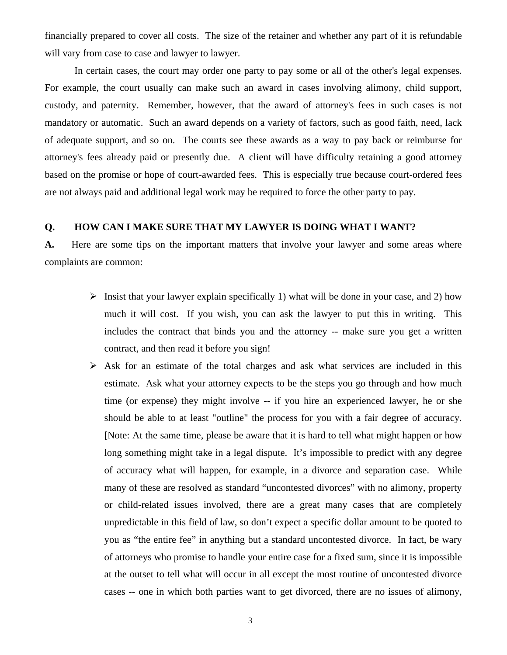financially prepared to cover all costs. The size of the retainer and whether any part of it is refundable will vary from case to case and lawyer to lawyer.

In certain cases, the court may order one party to pay some or all of the other's legal expenses. For example, the court usually can make such an award in cases involving alimony, child support, custody, and paternity. Remember, however, that the award of attorney's fees in such cases is not mandatory or automatic. Such an award depends on a variety of factors, such as good faith, need, lack of adequate support, and so on. The courts see these awards as a way to pay back or reimburse for attorney's fees already paid or presently due. A client will have difficulty retaining a good attorney based on the promise or hope of court-awarded fees. This is especially true because court-ordered fees are not always paid and additional legal work may be required to force the other party to pay.

#### **Q. HOW CAN I MAKE SURE THAT MY LAWYER IS DOING WHAT I WANT?**

**A.** Here are some tips on the important matters that involve your lawyer and some areas where complaints are common:

- $\triangleright$  Insist that your lawyer explain specifically 1) what will be done in your case, and 2) how much it will cost. If you wish, you can ask the lawyer to put this in writing. This includes the contract that binds you and the attorney -- make sure you get a written contract, and then read it before you sign!
- $\triangleright$  Ask for an estimate of the total charges and ask what services are included in this estimate. Ask what your attorney expects to be the steps you go through and how much time (or expense) they might involve -- if you hire an experienced lawyer, he or she should be able to at least "outline" the process for you with a fair degree of accuracy. [Note: At the same time, please be aware that it is hard to tell what might happen or how long something might take in a legal dispute. It's impossible to predict with any degree of accuracy what will happen, for example, in a divorce and separation case. While many of these are resolved as standard "uncontested divorces" with no alimony, property or child-related issues involved, there are a great many cases that are completely unpredictable in this field of law, so don't expect a specific dollar amount to be quoted to you as "the entire fee" in anything but a standard uncontested divorce. In fact, be wary of attorneys who promise to handle your entire case for a fixed sum, since it is impossible at the outset to tell what will occur in all except the most routine of uncontested divorce cases -- one in which both parties want to get divorced, there are no issues of alimony,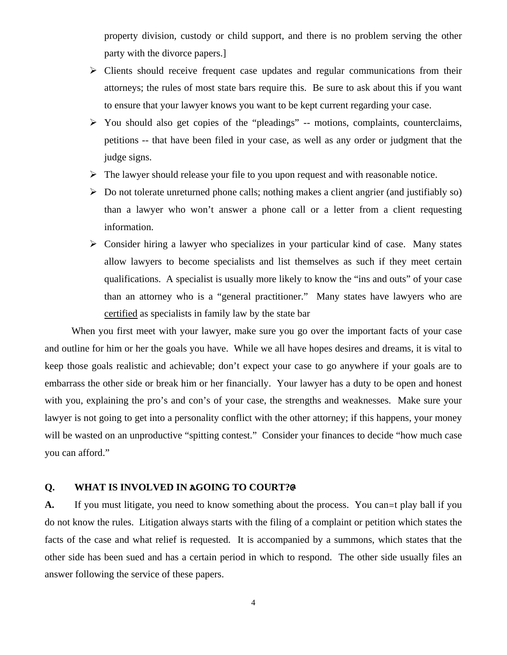property division, custody or child support, and there is no problem serving the other party with the divorce papers.]

- $\triangleright$  Clients should receive frequent case updates and regular communications from their attorneys; the rules of most state bars require this. Be sure to ask about this if you want to ensure that your lawyer knows you want to be kept current regarding your case.
- $\triangleright$  You should also get copies of the "pleadings" -- motions, complaints, counterclaims, petitions -- that have been filed in your case, as well as any order or judgment that the judge signs.
- $\triangleright$  The lawyer should release your file to you upon request and with reasonable notice.
- $\triangleright$  Do not tolerate unreturned phone calls; nothing makes a client angrier (and justifiably so) than a lawyer who won't answer a phone call or a letter from a client requesting information.
- $\triangleright$  Consider hiring a lawyer who specializes in your particular kind of case. Many states allow lawyers to become specialists and list themselves as such if they meet certain qualifications. A specialist is usually more likely to know the "ins and outs" of your case than an attorney who is a "general practitioner." Many states have lawyers who are certified as specialists in family law by the state bar

When you first meet with your lawyer, make sure you go over the important facts of your case and outline for him or her the goals you have. While we all have hopes desires and dreams, it is vital to keep those goals realistic and achievable; don't expect your case to go anywhere if your goals are to embarrass the other side or break him or her financially. Your lawyer has a duty to be open and honest with you, explaining the pro's and con's of your case, the strengths and weaknesses. Make sure your lawyer is not going to get into a personality conflict with the other attorney; if this happens, your money will be wasted on an unproductive "spitting contest." Consider your finances to decide "how much case you can afford."

#### **Q. WHAT IS INVOLVED IN AGOING TO COURT?@**

A. If you must litigate, you need to know something about the process. You can -t play ball if you do not know the rules. Litigation always starts with the filing of a complaint or petition which states the facts of the case and what relief is requested. It is accompanied by a summons, which states that the other side has been sued and has a certain period in which to respond. The other side usually files an answer following the service of these papers.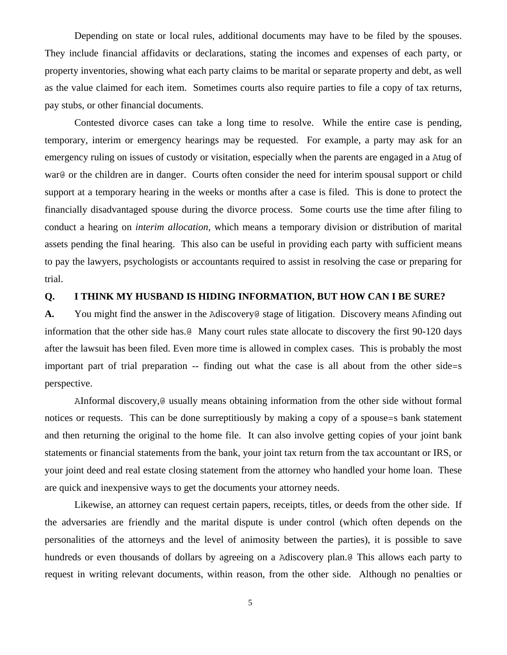Depending on state or local rules, additional documents may have to be filed by the spouses. They include financial affidavits or declarations, stating the incomes and expenses of each party, or property inventories, showing what each party claims to be marital or separate property and debt, as well as the value claimed for each item. Sometimes courts also require parties to file a copy of tax returns, pay stubs, or other financial documents.

Contested divorce cases can take a long time to resolve. While the entire case is pending, temporary, interim or emergency hearings may be requested. For example, a party may ask for an emergency ruling on issues of custody or visitation, especially when the parents are engaged in a Atug of war@ or the children are in danger. Courts often consider the need for interim spousal support or child support at a temporary hearing in the weeks or months after a case is filed. This is done to protect the financially disadvantaged spouse during the divorce process. Some courts use the time after filing to conduct a hearing on *interim allocation*, which means a temporary division or distribution of marital assets pending the final hearing. This also can be useful in providing each party with sufficient means to pay the lawyers, psychologists or accountants required to assist in resolving the case or preparing for trial.

## **Q. I THINK MY HUSBAND IS HIDING INFORMATION, BUT HOW CAN I BE SURE?**

**A.** You might find the answer in the Adiscovery@ stage of litigation. Discovery means Afinding out information that the other side has.@ Many court rules state allocate to discovery the first 90-120 days after the lawsuit has been filed. Even more time is allowed in complex cases. This is probably the most important part of trial preparation -- finding out what the case is all about from the other side=s perspective.

AInformal discovery,@ usually means obtaining information from the other side without formal notices or requests. This can be done surreptitiously by making a copy of a spouse=s bank statement and then returning the original to the home file. It can also involve getting copies of your joint bank statements or financial statements from the bank, your joint tax return from the tax accountant or IRS, or your joint deed and real estate closing statement from the attorney who handled your home loan. These are quick and inexpensive ways to get the documents your attorney needs.

Likewise, an attorney can request certain papers, receipts, titles, or deeds from the other side. If the adversaries are friendly and the marital dispute is under control (which often depends on the personalities of the attorneys and the level of animosity between the parties), it is possible to save hundreds or even thousands of dollars by agreeing on a Adiscovery plan.@ This allows each party to request in writing relevant documents, within reason, from the other side. Although no penalties or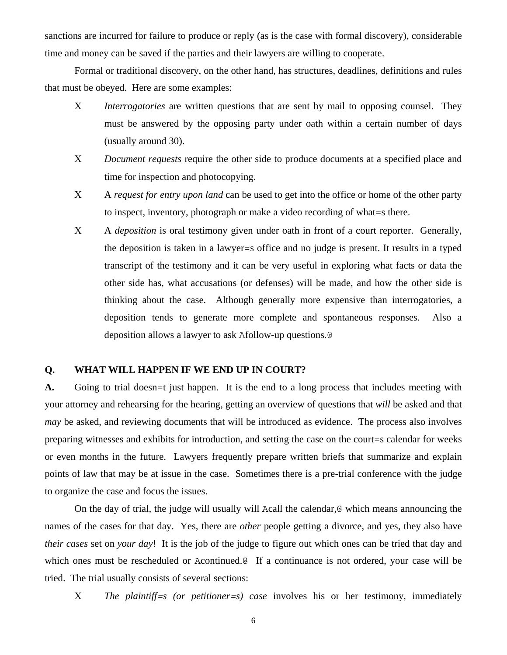sanctions are incurred for failure to produce or reply (as is the case with formal discovery), considerable time and money can be saved if the parties and their lawyers are willing to cooperate.

Formal or traditional discovery, on the other hand, has structures, deadlines, definitions and rules that must be obeyed. Here are some examples:

- Χ *Interrogatories* are written questions that are sent by mail to opposing counsel. They must be answered by the opposing party under oath within a certain number of days (usually around 30).
- Χ *Document requests* require the other side to produce documents at a specified place and time for inspection and photocopying.
- Χ A *request for entry upon land* can be used to get into the office or home of the other party to inspect, inventory, photograph or make a video recording of what=s there.
- Χ A *deposition* is oral testimony given under oath in front of a court reporter. Generally, the deposition is taken in a lawyer=s office and no judge is present. It results in a typed transcript of the testimony and it can be very useful in exploring what facts or data the other side has, what accusations (or defenses) will be made, and how the other side is thinking about the case. Although generally more expensive than interrogatories, a deposition tends to generate more complete and spontaneous responses. Also a deposition allows a lawyer to ask Afollow-up questions.@

## **Q. WHAT WILL HAPPEN IF WE END UP IN COURT?**

**A.** Going to trial doesn=t just happen. It is the end to a long process that includes meeting with your attorney and rehearsing for the hearing, getting an overview of questions that *will* be asked and that *may* be asked, and reviewing documents that will be introduced as evidence. The process also involves preparing witnesses and exhibits for introduction, and setting the case on the court=s calendar for weeks or even months in the future. Lawyers frequently prepare written briefs that summarize and explain points of law that may be at issue in the case. Sometimes there is a pre-trial conference with the judge to organize the case and focus the issues.

On the day of trial, the judge will usually will Acall the calendar,@ which means announcing the names of the cases for that day. Yes, there are *other* people getting a divorce, and yes, they also have *their cases* set on *your day*! It is the job of the judge to figure out which ones can be tried that day and which ones must be rescheduled or Acontinued.<sup>@</sup> If a continuance is not ordered, your case will be tried. The trial usually consists of several sections:

Χ *The plaintiff=s (or petitioner=s) case* involves his or her testimony, immediately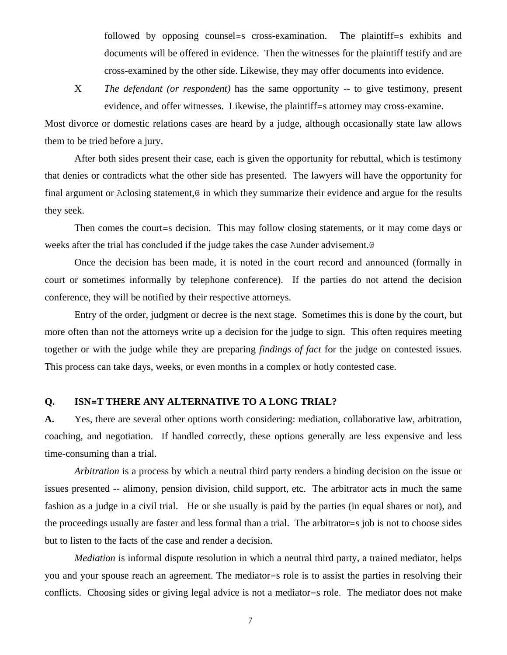followed by opposing counsel=s cross-examination. The plaintiff=s exhibits and documents will be offered in evidence. Then the witnesses for the plaintiff testify and are cross-examined by the other side. Likewise, they may offer documents into evidence.

Χ *The defendant (or respondent)* has the same opportunity -- to give testimony, present evidence, and offer witnesses. Likewise, the plaintiff=s attorney may cross-examine.

Most divorce or domestic relations cases are heard by a judge, although occasionally state law allows them to be tried before a jury.

After both sides present their case, each is given the opportunity for rebuttal, which is testimony that denies or contradicts what the other side has presented. The lawyers will have the opportunity for final argument or Aclosing statement,  $\theta$  in which they summarize their evidence and argue for the results they seek.

Then comes the court=s decision. This may follow closing statements, or it may come days or weeks after the trial has concluded if the judge takes the case Aunder advisement.@

Once the decision has been made, it is noted in the court record and announced (formally in court or sometimes informally by telephone conference). If the parties do not attend the decision conference, they will be notified by their respective attorneys.

Entry of the order, judgment or decree is the next stage. Sometimes this is done by the court, but more often than not the attorneys write up a decision for the judge to sign. This often requires meeting together or with the judge while they are preparing *findings of fact* for the judge on contested issues. This process can take days, weeks, or even months in a complex or hotly contested case.

## **Q. ISN=T THERE ANY ALTERNATIVE TO A LONG TRIAL?**

**A.** Yes, there are several other options worth considering: mediation, collaborative law, arbitration, coaching, and negotiation. If handled correctly, these options generally are less expensive and less time-consuming than a trial.

*Arbitration* is a process by which a neutral third party renders a binding decision on the issue or issues presented -- alimony, pension division, child support, etc. The arbitrator acts in much the same fashion as a judge in a civil trial. He or she usually is paid by the parties (in equal shares or not), and the proceedings usually are faster and less formal than a trial. The arbitrator=s job is not to choose sides but to listen to the facts of the case and render a decision.

*Mediation* is informal dispute resolution in which a neutral third party, a trained mediator, helps you and your spouse reach an agreement. The mediator=s role is to assist the parties in resolving their conflicts. Choosing sides or giving legal advice is not a mediator=s role. The mediator does not make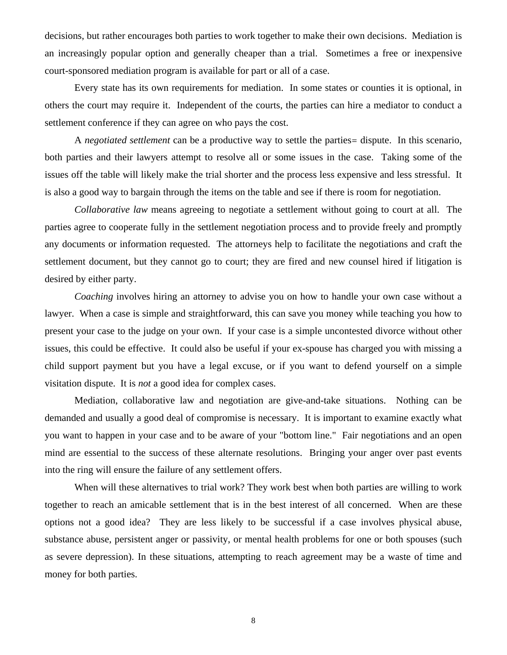decisions, but rather encourages both parties to work together to make their own decisions. Mediation is an increasingly popular option and generally cheaper than a trial. Sometimes a free or inexpensive court-sponsored mediation program is available for part or all of a case.

Every state has its own requirements for mediation. In some states or counties it is optional, in others the court may require it. Independent of the courts, the parties can hire a mediator to conduct a settlement conference if they can agree on who pays the cost.

A *negotiated settlement* can be a productive way to settle the parties= dispute. In this scenario, both parties and their lawyers attempt to resolve all or some issues in the case. Taking some of the issues off the table will likely make the trial shorter and the process less expensive and less stressful. It is also a good way to bargain through the items on the table and see if there is room for negotiation.

*Collaborative law* means agreeing to negotiate a settlement without going to court at all. The parties agree to cooperate fully in the settlement negotiation process and to provide freely and promptly any documents or information requested. The attorneys help to facilitate the negotiations and craft the settlement document, but they cannot go to court; they are fired and new counsel hired if litigation is desired by either party.

*Coaching* involves hiring an attorney to advise you on how to handle your own case without a lawyer. When a case is simple and straightforward, this can save you money while teaching you how to present your case to the judge on your own. If your case is a simple uncontested divorce without other issues, this could be effective. It could also be useful if your ex-spouse has charged you with missing a child support payment but you have a legal excuse, or if you want to defend yourself on a simple visitation dispute. It is *not* a good idea for complex cases.

Mediation, collaborative law and negotiation are give-and-take situations. Nothing can be demanded and usually a good deal of compromise is necessary. It is important to examine exactly what you want to happen in your case and to be aware of your "bottom line." Fair negotiations and an open mind are essential to the success of these alternate resolutions. Bringing your anger over past events into the ring will ensure the failure of any settlement offers.

When will these alternatives to trial work? They work best when both parties are willing to work together to reach an amicable settlement that is in the best interest of all concerned. When are these options not a good idea? They are less likely to be successful if a case involves physical abuse, substance abuse, persistent anger or passivity, or mental health problems for one or both spouses (such as severe depression). In these situations, attempting to reach agreement may be a waste of time and money for both parties.